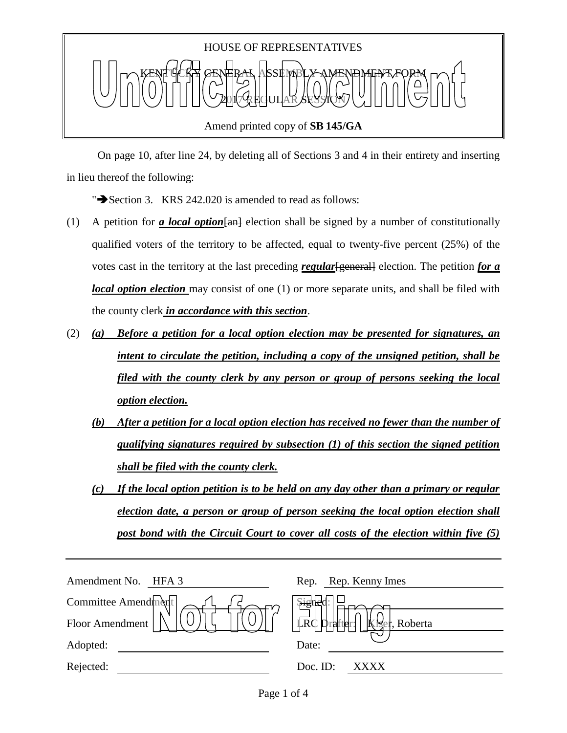

 On page 10, after line 24, by deleting all of Sections 3 and 4 in their entirety and inserting in lieu thereof the following:

" $\rightarrow$  Section 3. KRS 242.020 is amended to read as follows:

- (1) A petition for *a local option*[an] election shall be signed by a number of constitutionally qualified voters of the territory to be affected, equal to twenty-five percent (25%) of the votes cast in the territory at the last preceding *regular*[general] election. The petition *for a local option election* may consist of one (1) or more separate units, and shall be filed with the county clerk *in accordance with this section*.
- (2) *(a) Before a petition for a local option election may be presented for signatures, an intent to circulate the petition, including a copy of the unsigned petition, shall be filed with the county clerk by any person or group of persons seeking the local option election.*
	- *(b) After a petition for a local option election has received no fewer than the number of qualifying signatures required by subsection (1) of this section the signed petition shall be filed with the county clerk.*
	- *(c) If the local option petition is to be held on any day other than a primary or regular election date, a person or group of person seeking the local option election shall post bond with the Circuit Court to cover all costs of the election within five (5)*

| Amendment No.<br>HFA 3 | Rep. Rep. Kenny Imes                      |
|------------------------|-------------------------------------------|
| Committee Amendment    | $\frac{1}{2}$<br>neo                      |
| Floor Amendment        | LRC D<br>$\bf k$<br>, Roberta<br>Drafter: |
| Adopted:               | Date:                                     |
| Rejected:              | Doc. ID:<br>XXXX                          |
|                        |                                           |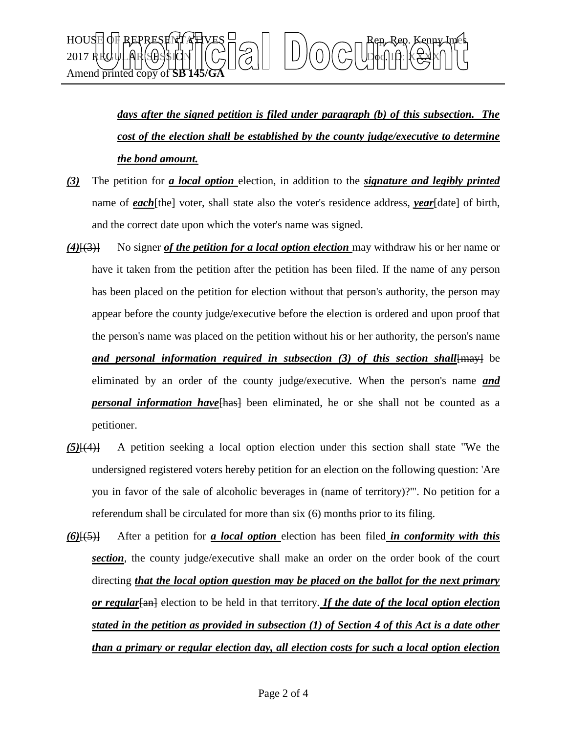

*days after the signed petition is filed under paragraph (b) of this subsection. The cost of the election shall be established by the county judge/executive to determine the bond amount.*

- *(3)* The petition for *a local option* election, in addition to the *signature and legibly printed*  name of *each*[the] voter, shall state also the voter's residence address, *year*[date] of birth, and the correct date upon which the voter's name was signed.
- *(4)*[(3)] No signer *of the petition for a local option election* may withdraw his or her name or have it taken from the petition after the petition has been filed. If the name of any person has been placed on the petition for election without that person's authority, the person may appear before the county judge/executive before the election is ordered and upon proof that the person's name was placed on the petition without his or her authority, the person's name *and personal information required in subsection (3) of this section shall*[may] be eliminated by an order of the county judge/executive. When the person's name *and personal information have*[has] been eliminated, he or she shall not be counted as a petitioner.
- *(5)*[(4)] A petition seeking a local option election under this section shall state "We the undersigned registered voters hereby petition for an election on the following question: 'Are you in favor of the sale of alcoholic beverages in (name of territory)?'". No petition for a referendum shall be circulated for more than six (6) months prior to its filing.
- *(6)*[(5)] After a petition for *a local option* election has been filed *in conformity with this section*, the county judge/executive shall make an order on the order book of the court directing *that the local option question may be placed on the ballot for the next primary or regular*[an] election to be held in that territory. *If the date of the local option election stated in the petition as provided in subsection (1) of Section 4 of this Act is a date other than a primary or regular election day, all election costs for such a local option election*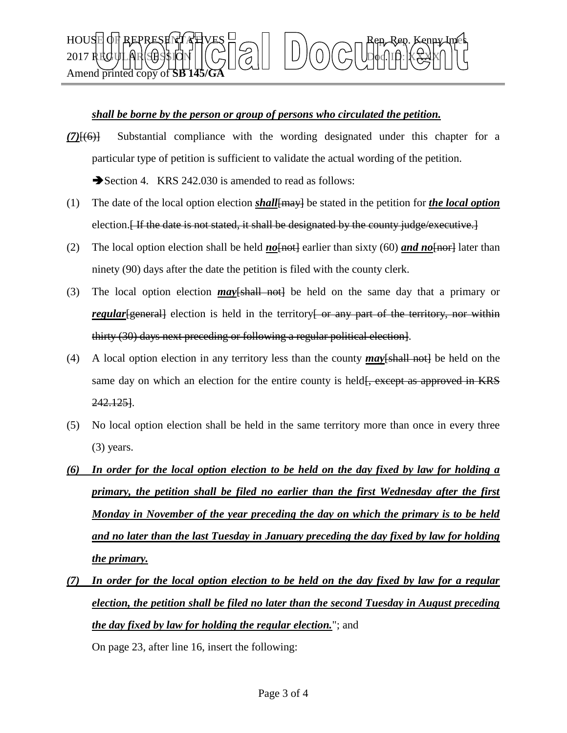

## *shall be borne by the person or group of persons who circulated the petition.*

*(7)*[(6)] Substantial compliance with the wording designated under this chapter for a particular type of petition is sufficient to validate the actual wording of the petition.

Section 4. KRS 242.030 is amended to read as follows:

- (1) The date of the local option election *shall* $\{$ <del>may</del>} be stated in the petition for *the local option* election.<del> If the date is not stated, it shall be designated by the county judge/executive.</del>
- (2) The local option election shall be held  $\underline{no[not]}$  earlier than sixty (60)  $\underline{and no[nor]}$  later than ninety (90) days after the date the petition is filed with the county clerk.
- (3) The local option election *may*[shall not] be held on the same day that a primary or *regular* [general] election is held in the territory or any part of the territory, nor within thirty (30) days next preceding or following a regular political election].
- (4) A local option election in any territory less than the county  $\frac{may}{s}$  and  $h$  be held on the same day on which an election for the entire county is held<del>[, except as approved in KRS</del> 242.125].
- (5) No local option election shall be held in the same territory more than once in every three (3) years.
- *(6) In order for the local option election to be held on the day fixed by law for holding a primary, the petition shall be filed no earlier than the first Wednesday after the first Monday in November of the year preceding the day on which the primary is to be held and no later than the last Tuesday in January preceding the day fixed by law for holding the primary.*
- *(7) In order for the local option election to be held on the day fixed by law for a regular election, the petition shall be filed no later than the second Tuesday in August preceding the day fixed by law for holding the regular election.*"; and

On page 23, after line 16, insert the following: